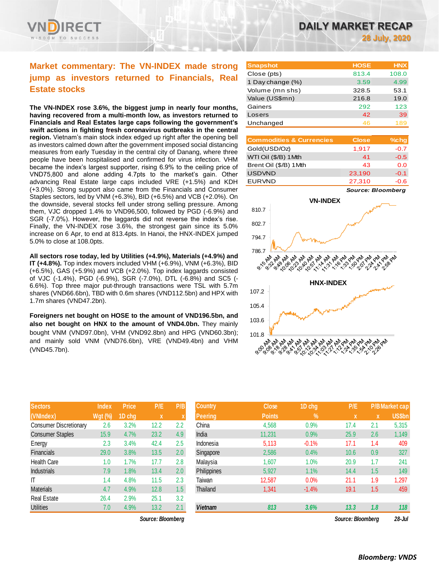

# **Market commentary: The VN-INDEX made strong jump as investors returned to Financials, Real Estate stocks**

**The VN-INDEX rose 3.6%, the biggest jump in nearly four months, having recovered from a multi-month low, as investors returned to Financials and Real Estates large caps following the government's swift actions in fighting fresh coronavirus outbreaks in the central region.** Vietnam's main stock index edged up right after the opening bell as investors calmed down after the government imposed social distancing measures from early Tuesday in the central city of Danang, where three people have been hospitalised and confirmed for virus infection. VHM became the index's largest supporter, rising 6.9% to the ceiling price of VND75,800 and alone adding 4.7pts to the market's gain. Other advancing Real Estate large caps included VRE (+1.5%) and KDH (+3.0%). Strong support also came from the Financials and Consumer Staples sectors, led by VNM (+6.3%), BID (+6.5%) and VCB (+2.0%). On the downside, several stocks fell under strong selling pressure. Among them, VJC dropped 1.4% to VND96,500, followed by PGD (-6.9%) and SGR (-7.0%). However, the laggards did not reverse the index's rise. Finally, the VN-INDEX rose 3.6%, the strongest gain since its 5.0% increase on 6 Apr, to end at 813.4pts. In Hanoi, the HNX-INDEX jumped 5.0% to close at 108.0pts.

**All sectors rose today, led by Utilities (+4.9%), Materials (+4.9%) and IT (+4.8%).** Top index movers included VHM (+6.9%), VNM (+6.3%), BID (+6.5%), GAS (+5.9%) and VCB (+2.0%). Top index laggards consisted of VJC (-1.4%), PGD (-6.9%), SGR (-7.0%), DTL (-6.8%) and SC5 (- 6.6%). Top three major put-through transactions were TSL with 5.7m shares (VND66.6bn), TBD with 0.6m shares (VND112.5bn) and HPX with 1.7m shares (VND47.2bn).

**Foreigners net bought on HOSE to the amount of VND196.5bn, and also net bought on HNX to the amount of VND4.0bn.** They mainly bought VNM (VND97.0bn), VHM (VND92.8bn) and HPG (VND60.3bn); and mainly sold VNM (VND76.6bn), VRE (VND49.4bn) and VHM (VND45.7bn).

| <b>Sectors</b>                | <b>Index</b>   | Price  | P/E  | P/B |
|-------------------------------|----------------|--------|------|-----|
| (VNIndex)                     | <b>Wgt (%)</b> | 1D chg | X    | X   |
| <b>Consumer Discretionary</b> | 2.6            | 3.2%   | 12.2 | 2.2 |
| <b>Consumer Staples</b>       | 15.9           | 4.7%   | 23.2 | 4.9 |
| Energy                        | 2.3            | 3.4%   | 42.4 | 2.5 |
| <b>Financials</b>             | 29.0           | 3.8%   | 13.5 | 2.0 |
| <b>Health Care</b>            | 1.0            | 1.7%   | 17.7 | 2.8 |
| <b>Industrials</b>            | 7.9            | 1.8%   | 13.4 | 2.0 |
| IT                            | 1.4            | 4.8%   | 11.5 | 2.3 |
| <b>Materials</b>              | 4.7            | 4.9%   | 12.8 | 1.5 |
| <b>Real Estate</b>            | 26.4           | 2.9%   | 25.1 | 3.2 |
| <b>Utilities</b>              | 7.0            | 4.9%   | 13.2 | 2.1 |

*Source: Bloomberg Source: Bloomberg 28-Jul*

| <b>Snapshot</b>  | <b>HOSE</b> | <b>HNX</b> |
|------------------|-------------|------------|
| Close (pts)      | 813.4       | 108.0      |
| 1 Day change (%) | 3.59        | 4.99       |
| Volume (mn shs)  | 328.5       | 53.1       |
| Value (US\$mn)   | 216.8       | 19.0       |
| Gainers          | 292         | 123        |
| Losers           | 42          | 39         |
| Unchanged        | 46          | 189        |

| <b>Commodities &amp; Currencies</b> | <b>Close</b> | $%$ chg |
|-------------------------------------|--------------|---------|
| Gold(USD/Oz)                        | 1,917        | $-0.7$  |
| WTI Oil (\$/B) 1Mth                 | 41           | $-0.5$  |
| Brent Oil (\$/B) 1Mth               | 43           | 0.0     |
| <b>USDVND</b>                       | 23,190       | $-0.1$  |
| <b>EURVND</b>                       | 27,310       | $-0.6$  |

*Source: Bloomberg*



| <b>Sectors</b>                | <b>Index</b>   | <b>Price</b> | P/E               | P/B          | <b>Country</b> | <b>Close</b>  | 1D chg     | P/E               |     | <b>P/B Market cap</b> |
|-------------------------------|----------------|--------------|-------------------|--------------|----------------|---------------|------------|-------------------|-----|-----------------------|
| (VNIndex)                     | <b>Wgt (%)</b> | 1D chg       | $\mathbf x$       | $\mathbf{v}$ | <b>Peering</b> | <b>Points</b> | $\sqrt{2}$ | $\mathbf{x}$      | X   | <b>US\$bn</b>         |
| <b>Consumer Discretionary</b> | 2.6            | 3.2%         | 12.2              | 2.2          | China          | 4,568         | 0.9%       | 17.4              | 2.1 | 5,315                 |
| <b>Consumer Staples</b>       | 15.9           | 4.7%         | 23.2              | 4.9          | India          | 11,231        | 0.9%       | 25.9              | 2.6 | 1,149                 |
| Energy                        | 2.3            | 3.4%         | 42.4              | 2.5          | Indonesia      | 5,113         | $-0.1%$    | 17.1              | 1.4 | 409                   |
| Financials                    | 29.0           | 3.8%         | 13.5              | 2.0          | Singapore      | 2,586         | 0.4%       | 10.6              | 0.9 | 327                   |
| Health Care                   | 1.0            | 1.7%         | 17.7              | 2.8          | Malaysia       | 1,607         | 1.0%       | 20.9              | 1.7 | 241                   |
| <b>Industrials</b>            | 7.9            | 1.8%         | 13.4              | 2.0          | Philippines    | 5,927         | 1.1%       | 14.4              | 1.5 | 149                   |
| ΙT                            | 1.4            | 4.8%         | 11.5              | 2.3          | Taiwan         | 12,587        | 0.0%       | 21.1              | 1.9 | 1,297                 |
| <b>Materials</b>              | 4.7            | 4.9%         | 12.8              | 1.5          | Thailand       | 1,341         | $-1.4%$    | 19.1              | 1.5 | 459                   |
| Real Estate                   | 26.4           | 2.9%         | 25.1              | 3.2          |                |               |            |                   |     |                       |
| <b>Utilities</b>              | 7.0            | 4.9%         | 13.2              | 2.1          | <b>Vietnam</b> | 813           | 3.6%       | 13.3              | 1.8 | 118                   |
|                               |                |              | Source: Bloomberg |              |                |               |            | Source: Bloomberg |     | $28 -$ Jul            |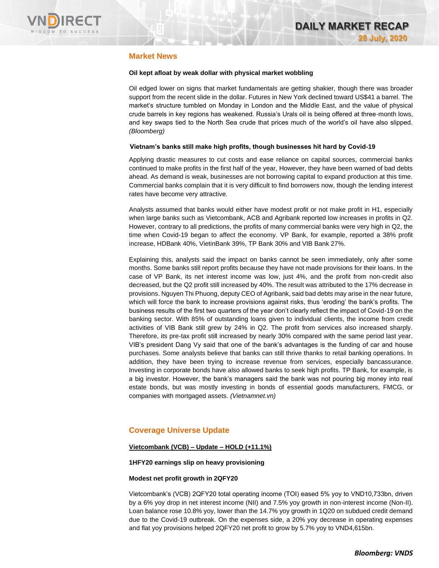

# **Market News**

## **Oil kept afloat by weak dollar with physical market wobbling**

Oil edged lower on signs that market fundamentals are getting shakier, though there was broader support from the recent slide in the dollar. Futures in New York declined toward US\$41 a barrel. The market's structure tumbled on Monday in London and the Middle East, and the value of physical crude barrels in key regions has weakened. Russia's Urals oil is being offered at three-month lows, and key swaps tied to the North Sea crude that prices much of the world's oil have also slipped. *(Bloomberg)*

## **Vietnam's banks still make high profits, though businesses hit hard by Covid-19**

Applying drastic measures to cut costs and ease reliance on capital sources, commercial banks continued to make profits in the first half of the year, However, they have been warned of bad debts ahead. As demand is weak, businesses are not borrowing capital to expand production at this time. Commercial banks complain that it is very difficult to find borrowers now, though the lending interest rates have become very attractive.

Analysts assumed that banks would either have modest profit or not make profit in H1, especially when large banks such as Vietcombank, ACB and Agribank reported low increases in profits in Q2. However, contrary to all predictions, the profits of many commercial banks were very high in Q2, the time when Covid-19 began to affect the economy. VP Bank, for example, reported a 38% profit increase, HDBank 40%, VietinBank 39%, TP Bank 30% and VIB Bank 27%.

Explaining this, analysts said the impact on banks cannot be seen immediately, only after some months. Some banks still report profits because they have not made provisions for their loans. In the case of VP Bank, its net interest income was low, just 4%, and the profit from non-credit also decreased, but the Q2 profit still increased by 40%. The result was attributed to the 17% decrease in provisions. Nguyen Thi Phuong, deputy CEO of Agribank, said bad debts may arise in the near future, which will force the bank to increase provisions against risks, thus 'eroding' the bank's profits. The business results of the first two quarters of the year don't clearly reflect the impact of Covid-19 on the banking sector. With 85% of outstanding loans given to individual clients, the income from credit activities of VIB Bank still grew by 24% in Q2. The profit from services also increased sharply. Therefore, its pre-tax profit still increased by nearly 30% compared with the same period last year. VIB's president Dang Vy said that one of the bank's advantages is the funding of car and house purchases. Some analysts believe that banks can still thrive thanks to retail banking operations. In addition, they have been trying to increase revenue from services, especially bancassurance. Investing in corporate bonds have also allowed banks to seek high profits. TP Bank, for example, is a big investor. However, the bank's managers said the bank was not pouring big money into real estate bonds, but was mostly investing in bonds of essential goods manufacturers, FMCG, or companies with mortgaged assets. *(Vietnamnet.vn)*

# **Coverage Universe Update**

## **Vietcombank (VCB) – Update – HOLD (+11.1%)**

## **1HFY20 earnings slip on heavy provisioning**

## **Modest net profit growth in 2QFY20**

Vietcombank's (VCB) 2QFY20 total operating income (TOI) eased 5% yoy to VND10,733bn, driven by a 6% yoy drop in net interest income (NII) and 7.5% yoy growth in non-interest income (Non-II). Loan balance rose 10.8% yoy, lower than the 14.7% yoy growth in 1Q20 on subdued credit demand due to the Covid-19 outbreak. On the expenses side, a 20% yoy decrease in operating expenses and flat yoy provisions helped 2QFY20 net profit to grow by 5.7% yoy to VND4,615bn.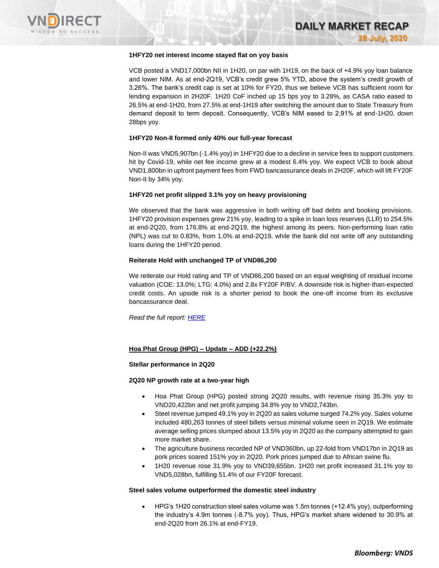

#### **1HFY20 net interest income stayed flat on yoy basis**

VCB posted a VND17,000bn NII in 1H20, on par with 1H19, on the back of +4.9% yoy loan balance and lower NIM. As at end-2Q19, VCB's credit grew 5% YTD, above the system's credit growth of 3.26%. The bank's credit cap is set at 10% for FY20, thus we believe VCB has sufficient room for lending expansion in 2H20F. 1H20 CoF inched up 15 bps yoy to 3.28%, as CASA ratio eased to 26.5% at end-1H20, from 27.5% at end-1H19 after switching the amount due to State Treasury from demand deposit to term deposit. Consequently, VCB's NIM eased to 2.91% at end-1H20, down 28bps yoy.

#### **1HFY20 Non-II formed only 40% our full-year forecast**

Non-II was VND5,907bn (-1.4% yoy) in 1HFY20 due to a decline in service fees to support customers hit by Covid-19, while net fee income grew at a modest 6.4% yoy. We expect VCB to book about VND1,800bn in upfront payment fees from FWD bancassurance deals in 2H20F, which will lift FY20F Non-II by 34% yoy.

#### **1HFY20 net profit slipped 3.1% yoy on heavy provisioning**

We observed that the bank was aggressive in both writing off bad debts and booking provisions. 1HFY20 provision expenses grew 21% yoy, leading to a spike in loan loss reserves (LLR) to 254.5% at end-2Q20, from 176.8% at end-2Q19, the highest among its peers. Non-performing loan ratio (NPL) was cut to 0.83%, from 1.0% at end-2Q19, while the bank did not write off any outstanding loans during the 1HFY20 period.

#### **Reiterate Hold with unchanged TP of VND86,200**

We reiterate our Hold rating and TP of VND86,200 based on an equal weighting of residual income valuation (COE: 13.0%; LTG: 4.0%) and 2.8x FY20F P/BV. A downside risk is higher-than-expected credit costs. An upside risk is a shorter period to book the one-off income from its exclusive bancassurance deal.

*Read the full report[: HERE](https://nhanha-public-api.vndirect.com.vn/click/OGE0ODlmZDA3MDVhYmY5ZTAxNzA1Y2ZkYmY4YjAwMDM=/MjRiZDRmMWI3ZGFjNDkzZmI3NTM2OWU4NmM5NzVmMmI=/24bd4f1b7dac493fb75369e86c975f2b-VCB_Update_20200728.pdf/cmVzZWFyY2hAdm5kaXJlY3QuY29tLnZu/MjA0MTI=)*

## **Hoa Phat Group (HPG) – Update – ADD (+22.2%)**

## **Stellar performance in 2Q20**

## **2Q20 NP growth rate at a two-year high**

- Hoa Phat Group (HPG) posted strong 2Q20 results, with revenue rising 35.3% yoy to VND20,422bn and net profit jumping 34.8% yoy to VND2,743bn.
- Steel revenue jumped 49.1% yoy in 2Q20 as sales volume surged 74.2% yoy. Sales volume included 480,263 tonnes of steel billets versus minimal volume seen in 2Q19. We estimate average selling prices slumped about 13.5% yoy in 2Q20 as the company attempted to gain more market share.
- The agriculture business recorded NP of VND360bn, up 22-fold from VND17bn in 2Q19 as pork prices soared 151% yoy in 2Q20. Pork prices jumped due to African swine flu.
- 1H20 revenue rose 31.9% yoy to VND39,655bn. 1H20 net profit increased 31.1% yoy to VND5,028bn, fulfilling 51.4% of our FY20F forecast.

#### **Steel sales volume outperformed the domestic steel industry**

• HPG's 1H20 construction steel sales volume was 1.5m tonnes (+12.4% yoy), outperforming the industry's 4.9m tonnes (-8.7% yoy). Thus, HPG's market share widened to 30.9% at end-2Q20 from 26.1% at end-FY19.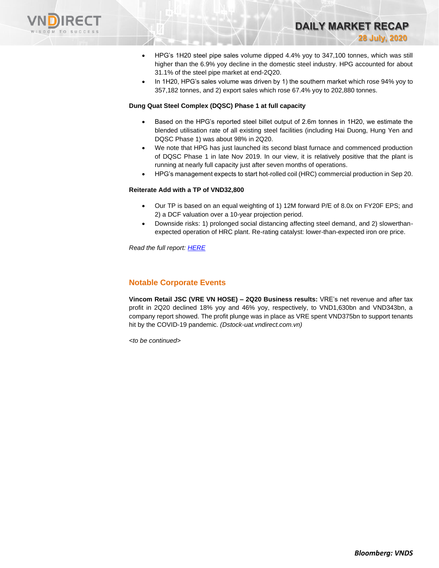

• HPG's 1H20 steel pipe sales volume dipped 4.4% yoy to 347,100 tonnes, which was still higher than the 6.9% yoy decline in the domestic steel industry. HPG accounted for about 31.1% of the steel pipe market at end-2Q20.

**DAILY MARKET RECAP** 

**28 July, 2020**

• In 1H20, HPG's sales volume was driven by 1) the southern market which rose 94% yoy to 357,182 tonnes, and 2) export sales which rose 67.4% yoy to 202,880 tonnes.

#### **Dung Quat Steel Complex (DQSC) Phase 1 at full capacity**

- Based on the HPG's reported steel billet output of 2.6m tonnes in 1H20, we estimate the blended utilisation rate of all existing steel facilities (including Hai Duong, Hung Yen and DQSC Phase 1) was about 98% in 2Q20.
- We note that HPG has just launched its second blast furnace and commenced production of DQSC Phase 1 in late Nov 2019. In our view, it is relatively positive that the plant is running at nearly full capacity just after seven months of operations.
- HPG's management expects to start hot-rolled coil (HRC) commercial production in Sep 20.

## **Reiterate Add with a TP of VND32,800**

- Our TP is based on an equal weighting of 1) 12M forward P/E of 8.0x on FY20F EPS; and 2) a DCF valuation over a 10-year projection period.
- Downside risks: 1) prolonged social distancing affecting steel demand, and 2) slowerthanexpected operation of HRC plant. Re-rating catalyst: lower-than-expected iron ore price.

*Read the full report[: HERE](https://nhanha-public-api.vndirect.com.vn/click/OGE0ODlmZDA3MDFjZjM0OTAxNzAxZWQ4OTRkZjAwMDk=/YWI5ZDhjY2E0MDk3NDgxNDk1NGE4NjAzY2Q1MDQzNjE=/ab9d8cca40974814954a8603cd504361-HPG_EarningsFlash_20200728.pdf/cmVzZWFyY2hAdm5kaXJlY3QuY29tLnZu/MjA0MTc=)*

## **Notable Corporate Events**

**Vincom Retail JSC (VRE VN HOSE) – 2Q20 Business results:** VRE's net revenue and after tax profit in 2Q20 declined 18% yoy and 46% yoy, respectively, to VND1,630bn and VND343bn, a company report showed. The profit plunge was in place as VRE spent VND375bn to support tenants hit by the COVID-19 pandemic. *(Dstock-uat.vndirect.com.vn)*

*<to be continued>*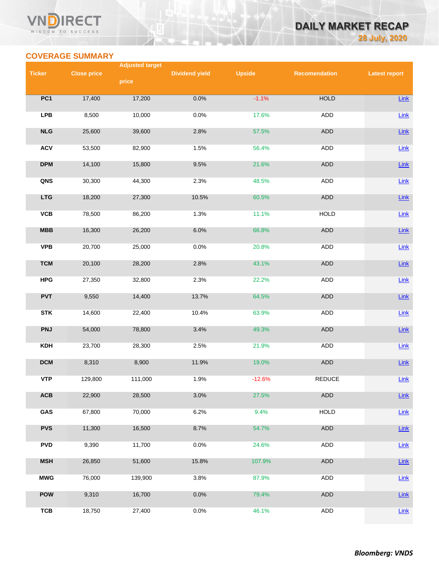## **VN RECT** WISDOM TO SUCCESS

# **DAILY MARKET RECAP 28 July, 2020**

# **COVERAGE SUMMARY**

|               |                    | <b>Adjusted target</b> |                       |               |                      |                      |
|---------------|--------------------|------------------------|-----------------------|---------------|----------------------|----------------------|
| <b>Ticker</b> | <b>Close price</b> | price                  | <b>Dividend yield</b> | <b>Upside</b> | <b>Recomendation</b> | <b>Latest report</b> |
|               |                    |                        |                       |               |                      |                      |
| PC1           | 17,400             | 17,200                 | 0.0%                  | $-1.1%$       | <b>HOLD</b>          | Link                 |
| <b>LPB</b>    | 8,500              | 10,000                 | 0.0%                  | 17.6%         | ADD                  | $Link$               |
| NLG           | 25,600             | 39,600                 | 2.8%                  | 57.5%         | <b>ADD</b>           | Link                 |
| <b>ACV</b>    | 53,500             | 82,900                 | 1.5%                  | 56.4%         | <b>ADD</b>           | $Link$               |
| <b>DPM</b>    | 14,100             | 15,800                 | 9.5%                  | 21.6%         | <b>ADD</b>           | Link                 |
| QNS           | 30,300             | 44,300                 | 2.3%                  | 48.5%         | ADD                  | Link                 |
| <b>LTG</b>    | 18,200             | 27,300                 | 10.5%                 | 60.5%         | ADD                  | Link                 |
| VCB           | 78,500             | 86,200                 | 1.3%                  | 11.1%         | <b>HOLD</b>          | Link                 |
| MBB           | 16,300             | 26,200                 | 6.0%                  | 66.8%         | <b>ADD</b>           | Link                 |
| <b>VPB</b>    | 20,700             | 25,000                 | 0.0%                  | 20.8%         | ADD                  | Link                 |
| <b>TCM</b>    | 20,100             | 28,200                 | 2.8%                  | 43.1%         | <b>ADD</b>           | Link                 |
| <b>HPG</b>    | 27,350             | 32,800                 | 2.3%                  | 22.2%         | ADD                  | <b>Link</b>          |
| <b>PVT</b>    | 9,550              | 14,400                 | 13.7%                 | 64.5%         | ADD                  | Link                 |
| <b>STK</b>    | 14,600             | 22,400                 | 10.4%                 | 63.9%         | ADD                  | $Link$               |
| <b>PNJ</b>    | 54,000             | 78,800                 | 3.4%                  | 49.3%         | ADD                  | <b>Link</b>          |
| <b>KDH</b>    | 23,700             | 28,300                 | 2.5%                  | 21.9%         | <b>ADD</b>           | $Link$               |
| <b>DCM</b>    | 8,310              | 8,900                  | 11.9%                 | 19.0%         | ADD                  | Link                 |
| <b>VTP</b>    | 129,800            | 111,000                | 1.9%                  | $-12.6%$      | <b>REDUCE</b>        | Link                 |
| ACB           | 22,900             | 28,500                 | 3.0%                  | 27.5%         | <b>ADD</b>           | Link                 |
| GAS           | 67,800             | 70,000                 | 6.2%                  | 9.4%          | <b>HOLD</b>          | <b>Link</b>          |
| <b>PVS</b>    | 11,300             | 16,500                 | 8.7%                  | 54.7%         | ADD                  | <b>Link</b>          |
| <b>PVD</b>    | 9,390              | 11,700                 | 0.0%                  | 24.6%         | <b>ADD</b>           | Link                 |
| <b>MSH</b>    | 26,850             | 51,600                 | 15.8%                 | 107.9%        | ADD                  | <b>Link</b>          |
| <b>MWG</b>    | 76,000             | 139,900                | 3.8%                  | 87.9%         | ADD                  | <b>Link</b>          |
| <b>POW</b>    | 9,310              | 16,700                 | 0.0%                  | 79.4%         | ADD                  | <b>Link</b>          |
| <b>TCB</b>    | 18,750             | 27,400                 | 0.0%                  | 46.1%         | ADD                  | <b>Link</b>          |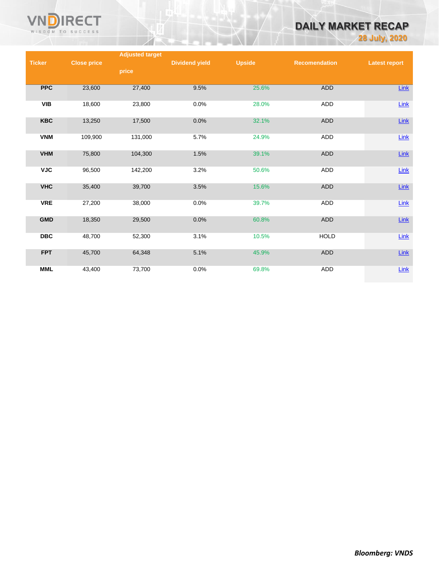

# **DAILY MARKET RECAP**

**28 July, 2020**

|               |                    | <b>Adjusted target</b> |                       |               |                      |                      |
|---------------|--------------------|------------------------|-----------------------|---------------|----------------------|----------------------|
| <b>Ticker</b> | <b>Close price</b> |                        | <b>Dividend yield</b> | <b>Upside</b> | <b>Recomendation</b> | <b>Latest report</b> |
|               |                    | price                  |                       |               |                      |                      |
|               |                    |                        |                       |               |                      |                      |
| <b>PPC</b>    | 23,600             | 27,400                 | 9.5%                  | 25.6%         | ADD                  | $Link$               |
| <b>VIB</b>    | 18,600             | 23,800                 | 0.0%                  | 28.0%         | ADD                  | Link                 |
| <b>KBC</b>    | 13,250             | 17,500                 | 0.0%                  | 32.1%         | <b>ADD</b>           | $Link$               |
| <b>VNM</b>    | 109,900            | 131,000                | 5.7%                  | 24.9%         | ADD                  | $Link$               |
|               |                    |                        |                       |               |                      |                      |
| <b>VHM</b>    | 75,800             | 104,300                | 1.5%                  | 39.1%         | ADD                  | Link                 |
| <b>VJC</b>    | 96,500             | 142,200                | 3.2%                  | 50.6%         | ADD                  | $Link$               |
| <b>VHC</b>    | 35,400             | 39,700                 | 3.5%                  | 15.6%         | ADD                  | $Link$               |
| <b>VRE</b>    | 27,200             | 38,000                 | 0.0%                  | 39.7%         | <b>ADD</b>           | $Link$               |
| <b>GMD</b>    | 18,350             | 29,500                 | 0.0%                  | 60.8%         | ADD                  | $Link$               |
| <b>DBC</b>    | 48,700             | 52,300                 | 3.1%                  | 10.5%         | <b>HOLD</b>          | Link                 |
| <b>FPT</b>    | 45,700             | 64,348                 | 5.1%                  | 45.9%         | ADD                  | $Link$               |
| <b>MML</b>    | 43,400             | 73,700                 | 0.0%                  | 69.8%         | ADD                  | Link                 |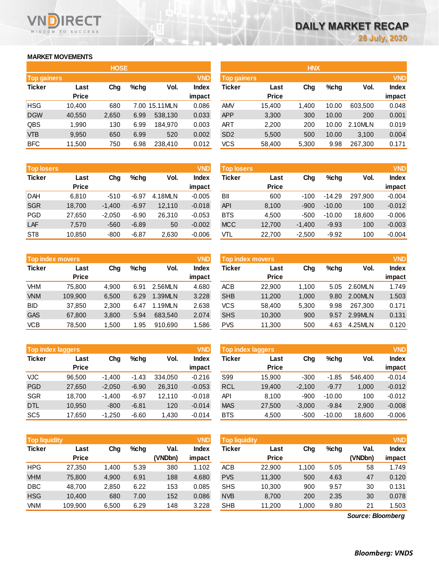## **MARKET MOVEMENTS**

WISDOM TO SUCCESS

RECT

|                    | <b>HOSE</b> |       |      |               |              |  |  |  |  |  |
|--------------------|-------------|-------|------|---------------|--------------|--|--|--|--|--|
| <b>Top gainers</b> |             |       |      |               | <b>VND</b>   |  |  |  |  |  |
| <b>Ticker</b>      | Last        | Cha   | %chq | Vol.          | <b>Index</b> |  |  |  |  |  |
|                    | Price       |       |      |               | impact       |  |  |  |  |  |
| <b>HSG</b>         | 10,400      | 680   |      | 7.00 15.11MLN | 0.086        |  |  |  |  |  |
| <b>DGW</b>         | 40,550      | 2,650 | 6.99 | 538,130       | 0.033        |  |  |  |  |  |
| QBS                | 1,990       | 130   | 6.99 | 184.970       | 0.003        |  |  |  |  |  |
| VTB                | 9,950       | 650   | 6.99 | 520           | 0.002        |  |  |  |  |  |
| <b>BFC</b>         | 11,500      | 750   | 6.98 | 238,410       | 0.012        |  |  |  |  |  |

| <b>Top losers</b> |              |          |         |         | <b>VND</b>   |
|-------------------|--------------|----------|---------|---------|--------------|
| <b>Ticker</b>     | Last         | Cha      | %chq    | Vol.    | <b>Index</b> |
|                   | <b>Price</b> |          |         |         | impact       |
| <b>DAH</b>        | 6,810        | $-510$   | $-6.97$ | 4.18MLN | $-0.005$     |
| <b>SGR</b>        | 18,700       | $-1,400$ | $-6.97$ | 12,110  | $-0.018$     |
| <b>PGD</b>        | 27,650       | $-2,050$ | $-6.90$ | 26,310  | $-0.053$     |
| LAF               | 7,570        | $-560$   | $-6.89$ | 50      | $-0.002$     |
| ST <sub>8</sub>   | 10,850       | $-800$   | $-6.87$ | 2,630   | $-0.006$     |

| <b>Top index movers</b> |              |       |      |         |              |  |  |  |  |
|-------------------------|--------------|-------|------|---------|--------------|--|--|--|--|
| <b>Ticker</b>           | Last         | Cha   | %chq | Vol.    | <b>Index</b> |  |  |  |  |
|                         | <b>Price</b> |       |      |         | impact       |  |  |  |  |
| VHM                     | 75,800       | 4,900 | 6.91 | 2.56MLN | 4.680        |  |  |  |  |
| <b>VNM</b>              | 109,900      | 6,500 | 6.29 | 1.39MLN | 3.228        |  |  |  |  |
| <b>BID</b>              | 37,850       | 2,300 | 6.47 | 1.19MLN | 2.638        |  |  |  |  |
| <b>GAS</b>              | 67,800       | 3,800 | 5.94 | 683,540 | 2.074        |  |  |  |  |
| <b>VCB</b>              | 78,500       | 1,500 | 1.95 | 910,690 | 1.586        |  |  |  |  |

| <b>VND</b><br><b>Top index laggers</b> |              |          |         |         |              |  |  |  |  |
|----------------------------------------|--------------|----------|---------|---------|--------------|--|--|--|--|
| <b>Ticker</b>                          | Last         | Cha      | %chq    | Vol.    | <b>Index</b> |  |  |  |  |
|                                        | <b>Price</b> |          |         |         | impact       |  |  |  |  |
| VJC                                    | 96,500       | $-1,400$ | $-1.43$ | 334,050 | $-0.216$     |  |  |  |  |
| <b>PGD</b>                             | 27,650       | $-2,050$ | $-6.90$ | 26,310  | $-0.053$     |  |  |  |  |
| <b>SGR</b>                             | 18,700       | $-1,400$ | $-6.97$ | 12,110  | $-0.018$     |  |  |  |  |
| <b>DTL</b>                             | 10,950       | $-800$   | $-6.81$ | 120     | $-0.014$     |  |  |  |  |
| SC <sub>5</sub>                        | 17,650       | $-1,250$ | $-6.60$ | 1,430   | $-0.014$     |  |  |  |  |

| <b>Top liquidity</b> |              |       |         |         | <b>VND</b>   | <b>Top liquidity</b> |              |       |      |                   | <b>VND</b> |
|----------------------|--------------|-------|---------|---------|--------------|----------------------|--------------|-------|------|-------------------|------------|
| Ticker               | Last         | Chg   | $%$ chg | Val.    | <b>Index</b> | Ticker               | Last         | Chg   | %chg | Val.              | Index      |
|                      | <b>Price</b> |       |         | (VNDbn) | impact       |                      | <b>Price</b> |       |      | (VNDbn)           | impact     |
| HPG                  | 27,350       | 1,400 | 5.39    | 380     | 1.102        | <b>ACB</b>           | 22,900       | 1,100 | 5.05 | 58                | 1.749      |
| <b>VHM</b>           | 75,800       | 4,900 | 6.91    | 188     | 4.680        | <b>PVS</b>           | 11,300       | 500   | 4.63 | 47                | 0.120      |
| DBC                  | 48,700       | 2,850 | 6.22    | 153     | 0.085        | <b>SHS</b>           | 10,300       | 900   | 9.57 | 30                | 0.131      |
| <b>HSG</b>           | 10,400       | 680   | 7.00    | 152     | 0.086        | <b>NVB</b>           | 8,700        | 200   | 2.35 | 30                | 0.078      |
| VNM                  | 109,900      | 6,500 | 6.29    | 148     | 3.228        | <b>SHB</b>           | 11,200       | 1,000 | 9.80 | 21                | 1.503      |
|                      |              |       |         |         |              |                      |              |       |      | Source: Bloomberg |            |

*Source: Bloomberg*

|                    |              | <b>HOSE</b> |         |                |              | <b>HNX</b>         |              |       |       |         |              |
|--------------------|--------------|-------------|---------|----------------|--------------|--------------------|--------------|-------|-------|---------|--------------|
| <b>Top gainers</b> |              |             |         |                | <b>VND</b>   | <b>Top gainers</b> |              |       |       |         | <b>VND</b>   |
| Ticker             | Last         | Chg         | $%$ chq | Vol.           | <b>Index</b> | Ticker             | Last         | Chg   | %chq  | Vol.    | <b>Index</b> |
|                    | <b>Price</b> |             |         |                | impact       |                    | <b>Price</b> |       |       |         | impact       |
| HSG                | 10.400       | 680         |         | 7.00 15.11 MLN | 0.086        | <b>AMV</b>         | 15,400       | 1,400 | 10.00 | 603,500 | 0.048        |
| <b>DGW</b>         | 40,550       | 2,650       | 6.99    | 538.130        | 0.033        | <b>APP</b>         | 3,300        | 300   | 10.00 | 200     | 0.001        |
| QBS                | 990, ا       | 130         | 6.99    | 184,970        | 0.003        | ART                | 2,200        | 200   | 10.00 | 2.10MLN | 0.019        |
| VTB                | 9,950        | 650         | 6.99    | 520            | 0.002        | SD <sub>2</sub>    | 5,500        | 500   | 10.00 | 3.100   | 0.004        |
| <b>BFC</b>         | 11,500       | 750         | 6.98    | 238,410        | 0.012        | VCS                | 58,400       | 5,300 | 9.98  | 267,300 | 0.171        |
|                    |              |             |         |                |              |                    |              |       |       |         |              |

| <b>Top losers</b> |              |          |         |         | <b>VND</b> | <b>Top losers</b> |              |          |          |         | <b>VND</b> |
|-------------------|--------------|----------|---------|---------|------------|-------------------|--------------|----------|----------|---------|------------|
| Ticker            | Last         | Chg      | $%$ chg | Vol.    | Index      | Ticker            | Last         | Chg      | $%$ chg  | Vol.    | Index      |
|                   | <b>Price</b> |          |         |         | impact     |                   | <b>Price</b> |          |          |         | impact     |
| DAH               | 6.810        | $-510$   | $-6.97$ | 4.18MLN | $-0.005$   | BII               | 600          | $-100$   | $-14.29$ | 297.900 | $-0.004$   |
| <b>SGR</b>        | 18,700       | $-1,400$ | $-6.97$ | 12,110  | $-0.018$   | <b>API</b>        | 8,100        | $-900$   | $-10.00$ | 100     | $-0.012$   |
| PGD               | 27,650       | $-2,050$ | $-6.90$ | 26.310  | $-0.053$   | <b>BTS</b>        | 4,500        | $-500$   | $-10.00$ | 18,600  | $-0.006$   |
| LAF               | 7,570        | $-560$   | $-6.89$ | 50      | $-0.002$   | <b>MCC</b>        | 12,700       | $-1,400$ | $-9.93$  | 100     | $-0.003$   |
| ST <sub>8</sub>   | 10,850       | $-800$   | $-6.87$ | 2,630   | $-0.006$   | VTL               | 22,700       | $-2,500$ | $-9.92$  | 100     | $-0.004$   |

| <b>Top index movers</b> |              |       |         |         | <b>VND</b>   | Top index movers |              |       |      |         | <b>VND</b>   |
|-------------------------|--------------|-------|---------|---------|--------------|------------------|--------------|-------|------|---------|--------------|
| Ticker                  | Last         | Chg   | $%$ chq | Vol.    | <b>Index</b> | Ticker           | Last         | Chg   | %chq | Vol.    | <b>Index</b> |
|                         | <b>Price</b> |       |         |         | impact       |                  | <b>Price</b> |       |      |         | impact       |
| VHM                     | 75.800       | 4.900 | 6.91    | 2.56MLN | 4.680        | ACB              | 22,900       | 1,100 | 5.05 | 2.60MLN | 1.749        |
| <b>VNM</b>              | 109.900      | 6.500 | 6.29    | 1.39MLN | 3.228        | <b>SHB</b>       | 11,200       | 1.000 | 9.80 | 2.00MLN | 1.503        |
| BID                     | 37,850       | 2,300 | 6.47    | 1.19MLN | 2.638        | <b>VCS</b>       | 58.400       | 5,300 | 9.98 | 267.300 | 0.171        |
| <b>GAS</b>              | 67,800       | 3,800 | 5.94    | 683.540 | 2.074        | <b>SHS</b>       | 10,300       | 900   | 9.57 | 2.99MLN | 0.131        |
| VCB                     | 78,500       | 1,500 | 1.95    | 910.690 | 1.586        | <b>PVS</b>       | 11,300       | 500   | 4.63 | 4.25MLN | 0.120        |

|            | <b>VND</b><br><b>Top index laggers</b> |          |         |         |          |            | <b>VND</b><br>Top index laggers |          |          |         |              |  |  |
|------------|----------------------------------------|----------|---------|---------|----------|------------|---------------------------------|----------|----------|---------|--------------|--|--|
| Ticker     | Last                                   | Chg      | $%$ chg | Vol.    | Index    | Ticker     | Last                            | Chg      | $%$ chg  | Vol.    | <b>Index</b> |  |  |
|            | <b>Price</b>                           |          |         |         | impact   |            | <b>Price</b>                    |          |          |         | impact       |  |  |
| VJC        | 96.500                                 | $-1.400$ | $-1.43$ | 334.050 | $-0.216$ | S99        | 15.900                          | $-300$   | $-1.85$  | 546.400 | $-0.014$     |  |  |
| PGD        | 27,650                                 | $-2,050$ | $-6.90$ | 26.310  | $-0.053$ | <b>RCL</b> | 19,400                          | $-2.100$ | $-9.77$  | 1,000   | $-0.012$     |  |  |
| <b>SGR</b> | 18.700                                 | $-1.400$ | $-6.97$ | 12.110  | $-0.018$ | <b>API</b> | 8.100                           | -900     | $-10.00$ | 100     | $-0.012$     |  |  |
| DTL        | 10.950                                 | $-800$   | $-6.81$ | 120     | $-0.014$ | <b>MAS</b> | 27,500                          | $-3,000$ | $-9.84$  | 2.900   | $-0.008$     |  |  |
| SC5        | 17,650                                 | $-1,250$ | $-6.60$ | 430, ا  | $-0.014$ | <b>BTS</b> | 4,500                           | $-500$   | $-10.00$ | 18,600  | $-0.006$     |  |  |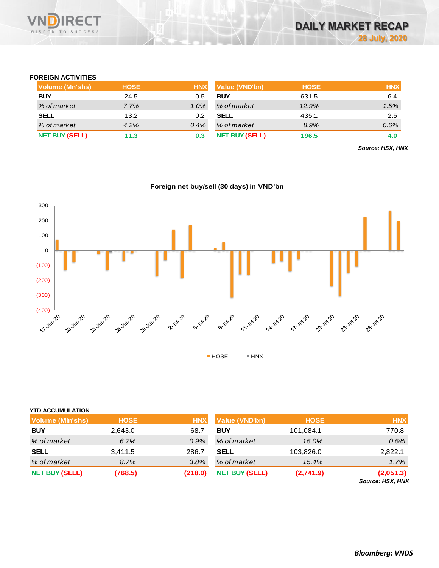

## **FOREIGN ACTIVITIES**

| Volume (Mn'shs)       | <b>HOSE</b> | <b>HNX</b> | <b>Value (VND'bn)</b> | <b>HOSE</b> | <b>HNX</b> |
|-----------------------|-------------|------------|-----------------------|-------------|------------|
| <b>BUY</b>            | 24.5        | 0.5        | <b>BUY</b>            | 631.5       | 6.4        |
| % of market           | 7.7%        | $1.0\%$    | % of market           | 12.9%       | 1.5%       |
| <b>SELL</b>           | 13.2        | 0.2        | SELL                  | 435.1       | 2.5        |
| % of market           | 4.2%        | 0.4%       | % of market           | 8.9%        | 0.6%       |
| <b>NET BUY (SELL)</b> | 11.3        | 0.3        | <b>NET BUY (SELL)</b> | 196.5       | 4.0        |

*Source: HSX, HNX*

**Foreign net buy/sell (30 days) in VND'bn**



## **YTD ACCUMULATION**

| <b>Volume (MIn'shs)</b> | <b>HOSE</b> | <b>HNX</b> | Value (VND'bn)        | <b>HOSE</b> | <b>HNX</b>                           |
|-------------------------|-------------|------------|-----------------------|-------------|--------------------------------------|
| <b>BUY</b>              | 2,643.0     | 68.7       | <b>BUY</b>            | 101,084.1   | 770.8                                |
| % of market             | 6.7%        | 0.9%       | % of market           | 15.0%       | 0.5%                                 |
| <b>SELL</b>             | 3,411.5     | 286.7      | SELL                  | 103,826.0   | 2,822.1                              |
| % of market             | 8.7%        | 3.8%       | % of market           | 15.4%       | 1.7%                                 |
| <b>NET BUY (SELL)</b>   | (768.5)     | (218.0)    | <b>NET BUY (SELL)</b> | (2,741.9)   | (2,051.3)<br><b>Source: HSX, HNX</b> |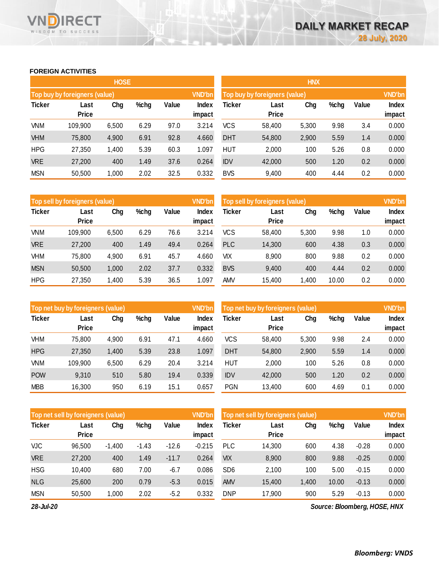# **FOREIGN ACTIVITIES**

WISDOM TO SUCCESS

**RECT** 

VND

|               |                               | <b>HOSE</b> |      |       |                        | <b>HNX</b>                    |                      |       |      |       |                 |  |
|---------------|-------------------------------|-------------|------|-------|------------------------|-------------------------------|----------------------|-------|------|-------|-----------------|--|
|               | Top buy by foreigners (value) |             |      |       | <b>VND'bn</b>          | Top buy by foreigners (value) |                      |       |      |       |                 |  |
| <b>Ticker</b> | Last<br><b>Price</b>          | Chg         | %chg | Value | <b>Index</b><br>impact | Ticker                        | Last<br><b>Price</b> | Chg   | %chg | Value | Index<br>impact |  |
| <b>VNM</b>    | 109,900                       | 6,500       | 6.29 | 97.0  | 3.214                  | <b>VCS</b>                    | 58,400               | 5,300 | 9.98 | 3.4   | 0.000           |  |
| <b>VHM</b>    | 75,800                        | 4,900       | 6.91 | 92.8  | 4.660                  | <b>DHT</b>                    | 54,800               | 2,900 | 5.59 | 1.4   | 0.000           |  |
| <b>HPG</b>    | 27,350                        | 1,400       | 5.39 | 60.3  | 1.097                  | <b>HUT</b>                    | 2,000                | 100   | 5.26 | 0.8   | 0.000           |  |
| <b>VRE</b>    | 27,200                        | 400         | 1.49 | 37.6  | 0.264                  | <b>IDV</b>                    | 42,000               | 500   | 1.20 | 0.2   | 0.000           |  |
| <b>MSN</b>    | 50,500                        | 1,000       | 2.02 | 32.5  | 0.332                  | <b>BVS</b>                    | 9,400                | 400   | 4.44 | 0.2   | 0.000           |  |

|               | Top sell by foreigners (value) |       |      |       | <b>VND'bn</b>          | Top sell by foreigners (value) |                      | <b>VND'bn</b> |       |       |                 |
|---------------|--------------------------------|-------|------|-------|------------------------|--------------------------------|----------------------|---------------|-------|-------|-----------------|
| <b>Ticker</b> | Last<br><b>Price</b>           | Chg   | %chg | Value | <b>Index</b><br>impact | <b>Ticker</b>                  | Last<br><b>Price</b> | Chg           | %chg  | Value | Index<br>impact |
| VNM           | 109,900                        | 6,500 | 6.29 | 76.6  | 3.214                  | <b>VCS</b>                     | 58.400               | 5,300         | 9.98  | 1.0   | 0.000           |
| <b>VRE</b>    | 27,200                         | 400   | 1.49 | 49.4  | 0.264                  | <b>PLC</b>                     | 14,300               | 600           | 4.38  | 0.3   | 0.000           |
| VHM           | 75,800                         | 4,900 | 6.91 | 45.7  | 4.660                  | VIX                            | 8,900                | 800           | 9.88  | 0.2   | 0.000           |
| <b>MSN</b>    | 50,500                         | 1,000 | 2.02 | 37.7  | 0.332                  | <b>BVS</b>                     | 9,400                | 400           | 4.44  | 0.2   | 0.000           |
| <b>HPG</b>    | 27,350                         | 1,400 | 5.39 | 36.5  | .097                   | amv                            | 15.400               | 1.400         | 10.00 | 0.2   | 0.000           |

|               | Top net buy by foreigners (value) |       |      |       |                 | Top net buy by foreigners (value) |                      | <b>VND'bn</b> |      |       |                        |
|---------------|-----------------------------------|-------|------|-------|-----------------|-----------------------------------|----------------------|---------------|------|-------|------------------------|
| <b>Ticker</b> | Last<br><b>Price</b>              | Chg   | %chg | Value | Index<br>impact | Ticker                            | Last<br><b>Price</b> | Chg           | %chg | Value | <b>Index</b><br>impact |
| VHM           | 75,800                            | 4,900 | 6.91 | 47.1  | 4.660           | <b>VCS</b>                        | 58,400               | 5,300         | 9.98 | 2.4   | 0.000                  |
| <b>HPG</b>    | 27,350                            | 1,400 | 5.39 | 23.8  | 1.097           | <b>DHT</b>                        | 54,800               | 2,900         | 5.59 | 1.4   | 0.000                  |
| VNM           | 109,900                           | 6,500 | 6.29 | 20.4  | 3.214           | HUT                               | 2.000                | 100           | 5.26 | 0.8   | 0.000                  |
| <b>POW</b>    | 9,310                             | 510   | 5.80 | 19.4  | 0.339           | <b>IDV</b>                        | 42,000               | 500           | 1.20 | 0.2   | 0.000                  |
| <b>MBB</b>    | 16,300                            | 950   | 6.19 | 15.1  | 0.657           | <b>PGN</b>                        | 13.400               | 600           | 4.69 | 0.1   | 0.000                  |

|               | <b>VND'bn</b><br>Top net sell by foreigners (value) |          |         |         |                 |                 | Top net sell by foreigners (value) |       |       |         |                 |  |
|---------------|-----------------------------------------------------|----------|---------|---------|-----------------|-----------------|------------------------------------|-------|-------|---------|-----------------|--|
| <b>Ticker</b> | Last<br><b>Price</b>                                | Chg      | %chg    | Value   | Index<br>impact | Ticker          | Last<br>Price                      | Chg   | %chg  | Value   | Index<br>impact |  |
| <b>VJC</b>    | 96,500                                              | $-1,400$ | $-1.43$ | $-12.6$ | $-0.215$        | <b>PLC</b>      | 14,300                             | 600   | 4.38  | $-0.28$ | 0.000           |  |
| <b>VRE</b>    | 27,200                                              | 400      | 1.49    | $-11.7$ | 0.264           | VIX             | 8,900                              | 800   | 9.88  | $-0.25$ | 0.000           |  |
| <b>HSG</b>    | 10,400                                              | 680      | 7.00    | $-6.7$  | 0.086           | SD <sub>6</sub> | 2,100                              | 100   | 5.00  | $-0.15$ | 0.000           |  |
| <b>NLG</b>    | 25,600                                              | 200      | 0.79    | $-5.3$  | 0.015           | <b>AMV</b>      | 15,400                             | 1,400 | 10.00 | $-0.13$ | 0.000           |  |
| <b>MSN</b>    | 50,500                                              | 1,000    | 2.02    | $-5.2$  | 0.332           | <b>DNP</b>      | 17,900                             | 900   | 5.29  | $-0.13$ | 0.000           |  |
| -------       |                                                     |          |         |         |                 |                 |                                    |       |       |         |                 |  |

*28-Jul-20*

*Source: Bloomberg, HOSE, HNX*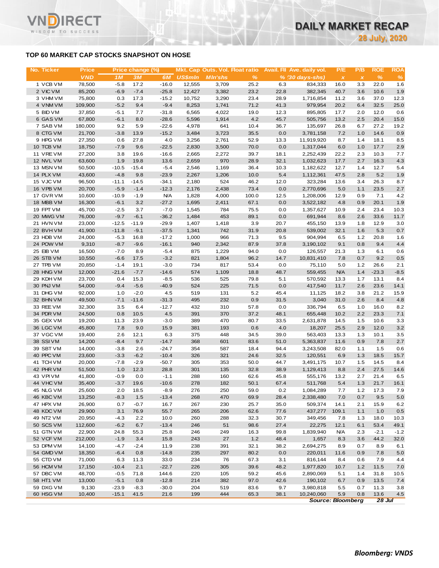# **TOP 60 MARKET CAP STOCKS SNAPSHOT ON HOSE**

T.

WISDOM TO SUCCESS

| No. Ticker             | <b>Price</b>     |                    | Price change (%)  |                       |                | Mkt. Cap Outs. Vol. Float ratio |               |              | Avail. Fil Ave. daily vol. | P/E          | P/B          | <b>ROE</b>   | <b>ROA</b>  |
|------------------------|------------------|--------------------|-------------------|-----------------------|----------------|---------------------------------|---------------|--------------|----------------------------|--------------|--------------|--------------|-------------|
|                        | <b>VND</b>       | 1M                 | 3M                | 6M                    | <b>US\$mln</b> | <b>MIn'shs</b>                  | %             |              | $% (30 days-shs)$          | $\pmb{\chi}$ | $\pmb{\chi}$ | $\%$         | %           |
| 1 VCB VM               | 78,500           | $-5.8$             | 17.2              | $-16.0$               | 12,555         | 3,709                           | 25.2          | 6.3          | 834,333                    | 16.0         | 3.3          | 22.0         | 1.6         |
| 2 VIC VM               | 85,200           | $-6.9$             | $-7.4$            | $-25.8$               | 12,427         | 3,382                           | 23.2          | 22.8         | 382,345                    | 40.7         | 3.6          | 10.6         | 1.9         |
| 3 VHM VM               | 75,800           | 0.3                | 17.3              | $-15.2$               | 10,752         | 3,290                           | 23.4          | 28.9         | 1,716,854                  | 11.2         | 3.6          | 37.0         | 12.3        |
| 4 VNM VM               | 109,900          | $-5.2$             | 9.4<br>7.7        | $-9.4$<br>$-31.8$     | 8,253          | 1,741                           | 71.2          | 41.3         | 979,954                    | 20.2<br>17.7 | 6.4<br>2.0   | 32.5<br>12.0 | 25.0        |
| 5 BID VM<br>6 GAS VM   | 37,850<br>67,800 | $-5.1$<br>$-6.1$   | 8.0               | $-28.6$               | 6,565<br>5,596 | 4,022<br>1,914                  | 19.0<br>4.2   | 12.3<br>45.7 | 895,805<br>505,756         | 13.2         | 2.5          | 20.4         | 0.6<br>15.0 |
| 7 SAB VM               | 180,000          | 9.2                | 5.9               | $-22.6$               | 4,978          | 641                             | 10.4          | 36.7         | 135,697                    | 26.8         | 6.7          | 27.2         | 19.2        |
| 8 CTG VM               | 21,700           | $-3.8$             | 13.9              | $-15.2$               | 3,484          | 3,723                           | 35.5          | 0.0          | 3,781,158                  | 7.2          | 1.0          | 14.6         | 0.9         |
| 9 HPG VM               | 27,350           | 0.6                | 27.8              | 4.0                   | 3,256          | 2,761                           | 52.9          | 13.3         | 11,919,920                 | 8.7          | 1.4          | 18.1         | 8.5         |
| 10 TCB VM              | 18,750           | $-7.9$             | 9.6               | $-22.5$               | 2,830          | 3,500                           | 70.0          | 0.0          | 1,317,044                  | 6.0          | 1.0          | 17.7         | 2.9         |
| 11 VRE VM              | 27,200           | 3.8                | 19.6              | $-16.6$               | 2,665          | 2,272                           | 39.7          | 18.1         | 2,252,439                  | 22.2         | 2.3          | 10.3         | 7.7         |
| 12 NVL VM              | 63,600           | 1.9                | 19.8              | 13.6                  | 2,659          | 970                             | 28.9          | 32.1         | 1,032,623                  | 17.7         | 2.7          | 16.3         | 4.3         |
| 13 MSN VM              | 50,500           | $-10.5$            | $-15.4$           | $-5.4$                | 2,546          | 1,169                           | 36.4          | 10.3         | 1,182,622                  | 12.7         | 1.4          | 12.7         | 5.4         |
| 14 PLX VM              | 43,600           | $-4.8$             | 9.8               | $-23.9$               | 2,267          | 1,206                           | 10.0          | 5.4          | 1,112,361                  | 47.5         | 2.8          | 5.2          | 1.9         |
| 15 VJC VM              | 96,500           | $-11.1$            | $-14.5$           | $-34.1$               | 2,180          | 524                             | 46.2          | 12.0         | 323,284                    | 13.6         | 3.4          | 26.3         | 8.7         |
| 16 VPB VM              | 20,700           | $-5.9$             | $-1.4$            | $-12.3$               | 2,176          | 2,438                           | 73.4          | 0.0          | 2,770,696                  | 5.0          | 1.1          | 23.5         | 2.7         |
| 17 GVR VM<br>18 MBB VM | 10,600<br>16,300 | $-10.9$<br>$-6.1$  | $-1.9$<br>3.2     | <b>N/A</b><br>$-27.2$ | 1,828<br>1,695 | 4,000<br>2,411                  | 100.0<br>67.1 | 12.5<br>0.0  | 1,208,006<br>3,522,182     | 12.9<br>4.8  | 0.9<br>0.9   | 7.1<br>20.1  | 4.2<br>1.9  |
| 19 FPT VM              | 45,700           | $-2.5$             | 3.7               | $-7.0$                | 1,545          | 784                             | 75.5          | 0.0          | 1,357,627                  | 10.9         | 2.4          | 23.4         | 10.3        |
| 20 MWG VM              | 76,000           | $-9.7$             | $-6.1$            | $-36.2$               | 1,484          | 453                             | 89.1          | 0.0          | 691,944                    | 8.6          | 2.6          | 33.6         | 11.7        |
| 21 HVN VM              | 23,000           | $-12.5$            | $-11.9$           | $-29.9$               | 1,407          | 1,418                           | 3.9           | 20.7         | 455,150                    | 13.9         | 1.8          | 12.9         | 3.0         |
| 22 BVHVM               | 41,900           | $-11.8$            | $-9.1$            | $-37.5$               | 1,341          | 742                             | 31.9          | 20.8         | 539,002                    | 32.1         | 1.6          | 5.3          | 0.7         |
| 23 HDB VM              | 24,000           | $-5.3$             | 16.8              | $-17.2$               | 1,000          | 966                             | 71.3          | 9.5          | 904,994                    | 6.5          | 1.2          | 20.8         | 1.6         |
| 24 POW VM              | 9,310            | $-8.7$             | $-9.6$            | $-16.1$               | 940            | 2,342                           | 87.9          | 37.8         | 3,190,102                  | 9.1          | 0.8          | 9.4          | 4.4         |
| 25 EIB VM              | 16,500           | $-7.0$             | 8.9               | $-5.4$                | 875            | 1,229                           | 94.0          | 0.0          | 126,557                    | 21.3         | 1.3          | 6.1          | 0.6         |
| 26 STB VM              | 10,550           | $-6.6$             | 17.5              | $-3.2$                | 821            | 1,804                           | 96.2          | 14.7         | 10,831,410                 | 7.8          | 0.7          | 9.2          | 0.5         |
| 27 TPB VM              | 20,850           | $-1.4$             | 19.1              | $-3.0$                | 734            | 817                             | 53.4          | 0.0          | 75,110                     | 5.0          | 1.2          | 26.6         | 2.1         |
| 28 HNG VM              | 12,000           | $-21.6$            | $-7.7$            | $-14.6$               | 574            | 1,109                           | 18.8          | 48.7         | 559,455                    | <b>N/A</b>   | 1.4          | $-23.3$      | $-8.5$      |
| 29 KDH VM              | 23,700           | 0.4                | 15.3              | $-8.5$                | 536            | 525                             | 79.8          | 5.1          | 570,592                    | 13.3         | 1.7          | 13.1         | 8.4         |
| 30 PNJ VM              | 54,000           | $-9.4$             | $-5.6$            | $-40.9$               | 524            | 225                             | 71.5          | 0.0          | 417,540                    | 11.7         | 2.6          | 23.6         | 14.1        |
| 31 DHG VM<br>32 BHN VM | 92,000<br>49,500 | 1.0<br>$-7.1$      | $-2.0$<br>$-11.6$ | 4.5<br>$-31.3$        | 519<br>495     | 131<br>232                      | 5.2<br>0.9    | 45.4<br>31.5 | 11,125<br>3,040            | 18.2<br>31.0 | 3.8<br>2.6   | 21.2<br>8.4  | 15.9<br>4.8 |
| 33 REE VM              | 32,300           | 3.5                | 6.4               | $-12.7$               | 432            | 310                             | 57.8          | 0.0          | 336,794                    | 6.5          | 1.0          | 16.0         | 8.2         |
| 34 PDR VM              | 24,500           | 0.8                | 10.5              | 4.5                   | 391            | 370                             | 37.2          | 48.1         | 655,448                    | 10.2         | 2.2          | 23.3         | 7.1         |
| 35 GEX VM              | 19,200           | 11.3               | 23.9              | $-3.0$                | 389            | 470                             | 80.7          | 33.5         | 2,631,878                  | 14.5         | 1.5          | 10.6         | 3.3         |
| 36 LGC VM              | 45,800           | 7.8                | 9.0               | 15.9                  | 381            | 193                             | 0.6           | 4.0          | 18,207                     | 25.5         | 2.9          | 12.0         | 3.2         |
| 37 VGC VM              | 19,400           | 2.6                | 12.1              | 6.3                   | 375            | 448                             | 34.5          | 39.0         | 563,403                    | 13.3         | 1.3          | 10.1         | 3.5         |
| 38 SSIVM               | 14,200           | $-8.4$             | 9.7               | $-14.7$               | 368            | 601                             | 83.6          | 51.0         | 5,363,837                  | 11.6         | 0.9          | 7.8          | 2.7         |
| 39 SBT VM              | 14,000           | $-3.8$             | 2.6               | $-24.7$               | 354            | 587                             | 18.4          | 94.4         | 3,243,508                  | 82.0         | 1.1          | 1.5          | 0.6         |
| 40 PPC VM              | 23,600           | $-3.3$             | $-6.2$            | $-10.4$               | 326            | 321                             | 24.6          | 32.5         | 120,551                    | 6.9          | 1.3          | 18.5         | 15.7        |
| 41 TCH VM              | 20,000           | $-7.8$             | $-2.9$            | -50.7                 | 305            | 353                             | 50.0          | 44.7         | 3,491,175                  | 10.7         | 1.5          | 14.5         | 8.4         |
| 42 PHR VM              | 51,500           | 1.0                | 12.3              | 28.8                  | 301            | 135                             | 32.8          | 38.9         | 1,129,413                  | 8.8          | 2.4          | 27.5         | 14.6        |
| 43 VPIVM               | 41,800           | $-0.9$             | 0.0               | $-1.1$                | 288            | 160                             | 62.6          | 45.8         | 555,176                    | 13.2         | 2.7          | 21.4         | 6.5         |
| 44 VHC VM              | 35,400           | $-3.7$             | 19.6              | $-10.6$               | 278<br>276     | 182                             | 50.1          | 67.4         | 511,768                    | 5.4          | 1.3          | 21.7         | 16.1        |
| 45 NLG VM<br>46 KBC VM | 25,600<br>13,250 | 2.0<br>$-8.3$      | 18.5<br>1.5       | $-8.9$<br>$-13.4$     | 268            | 250<br>470                      | 59.0<br>69.9  | 0.2<br>28.4  | 1,084,289<br>2,338,480     | 7.7<br>7.0   | 1.2<br>0.7   | 17.3<br>9.5  | 7.9<br>5.0  |
| 47 HPX VM              | 26,900           | 0.7                | $-0.7$            | 16.7                  | 267            | 230                             | 25.7          | 35.0         | 509,374                    | 14.1         | 2.1          | 15.9         | 6.2         |
| 48 KDC VM              | 29,900           | 3.1                | 76.9              | 55.7                  | 265            | 206                             | 62.6          | 77.6         | 437,277                    | 109.1        | 1.1          | 1.0          | 0.5         |
| 49 NT2 VM              | 20,950           | $-4.3$             | 2.2               | 10.0                  | 260            | 288                             | 32.3          | 30.7         | 349,456                    | 7.8          | 1.3          | 18.0         | 10.3        |
| 50 SCS VM              | 112,600          | $-6.2$             | 6.7               | $-13.4$               | 246            | 51                              | 98.6          | 27.4         | 22,275                     | 12.1         | 6.1          | 53.4         | 49.1        |
| 51 GTN VM              | 22,900           | 24.8               | 55.3              | 25.8                  | 246            | 249                             | 16.3          | 99.8         | 1,839,940                  | <b>N/A</b>   | 2.3          | $-2.1$       | $-1.2$      |
| 52 VCF VM              | 212,000          | $-1.9$             | 3.4               | 15.8                  | 243            | 27                              | 1.2           | 48.4         | 1,657                      | 8.3          | 3.6          | 44.2         | 32.0        |
| 53 DPM VM              | 14,100           | $-4.7$             | $-2.4$            | 11.9                  | 238            | 391                             | 32.1          | 38.2         | 2,694,275                  | 8.9          | 0.7          | 8.9          | 6.1         |
| 54 GMD VM              | 18,350           | $-6.4$             | 0.8               | $-14.8$               | 235            | 297                             | 80.2          | 0.0          | 220,011                    | 11.6         | 0.9          | 7.8          | 5.0         |
| 55 CTD VM              | 71,000           | 6.3                | 11.3              | 33.0                  | 234            | 76                              | 67.3          | 3.1          | 816,144                    | 8.4          | 0.6          | 7.9          | 4.4         |
| 56 HCM VM              | 17,150           | $-10.4$            | 2.1               | $-22.7$               | 226            | 305                             | 39.6          | 48.2         | 1,977,820                  | 10.7         | 1.2          | 11.5         | 7.0         |
| 57 DBC VM              | 48,700           | $-0.5$             | 71.8              | 144.6                 | 220            | 105                             | 59.2          | 45.6         | 2,890,069                  | 5.1          | 1.4          | 31.8         | 10.5        |
| 58 HT1 VM              | 13,000           | $-5.1$             | 0.8               | $-12.8$               | 214            | 382                             | 97.0          | 42.6         | 190,102                    | 6.7          | 0.9          | 13.5         | 7.4         |
| 59 DXG VM<br>60 HSG VM | 9,130<br>10,400  | $-23.9$<br>$-15.1$ | $-8.3$<br>41.5    | $-30.0$<br>21.6       | 204<br>199     | 519<br>444                      | 83.6<br>65.3  | 9.7<br>38.1  | 3,980,818<br>10,240,060    | 5.5<br>5.9   | 0.7<br>0.8   | 11.3<br>13.6 | 3.8<br>4.5  |
|                        |                  |                    |                   |                       |                |                                 |               |              |                            |              |              |              |             |